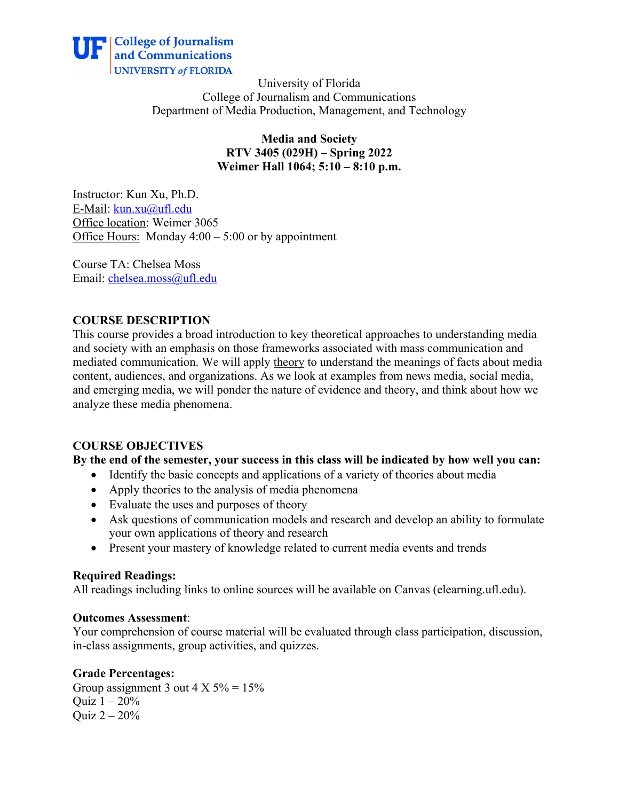

University of Florida College of Journalism and Communications Department of Media Production, Management, and Technology

> **Media and Society RTV 3405 (029H) – Spring 2022 Weimer Hall 1064; 5:10 – 8:10 p.m.**

Instructor: Kun Xu, Ph.D. E-Mail: kun.xu@ufl.edu Office location: Weimer 3065 Office Hours: Monday 4:00 – 5:00 or by appointment

Course TA: Chelsea Moss Email: chelsea.moss@ufl.edu

#### **COURSE DESCRIPTION**

This course provides a broad introduction to key theoretical approaches to understanding media and society with an emphasis on those frameworks associated with mass communication and mediated communication. We will apply theory to understand the meanings of facts about media content, audiences, and organizations. As we look at examples from news media, social media, and emerging media, we will ponder the nature of evidence and theory, and think about how we analyze these media phenomena.

# **COURSE OBJECTIVES**

#### **By the end of the semester, your success in this class will be indicated by how well you can:**

- Identify the basic concepts and applications of a variety of theories about media
- Apply theories to the analysis of media phenomena
- Evaluate the uses and purposes of theory
- Ask questions of communication models and research and develop an ability to formulate your own applications of theory and research
- Present your mastery of knowledge related to current media events and trends

#### **Required Readings:**

All readings including links to online sources will be available on Canvas (elearning.ufl.edu).

#### **Outcomes Assessment**:

Your comprehension of course material will be evaluated through class participation, discussion, in-class assignments, group activities, and quizzes.

#### **Grade Percentages:**

Group assignment 3 out  $4 \text{ X } 5\% = 15\%$ Quiz  $1 - 20%$ Quiz 2 – 20%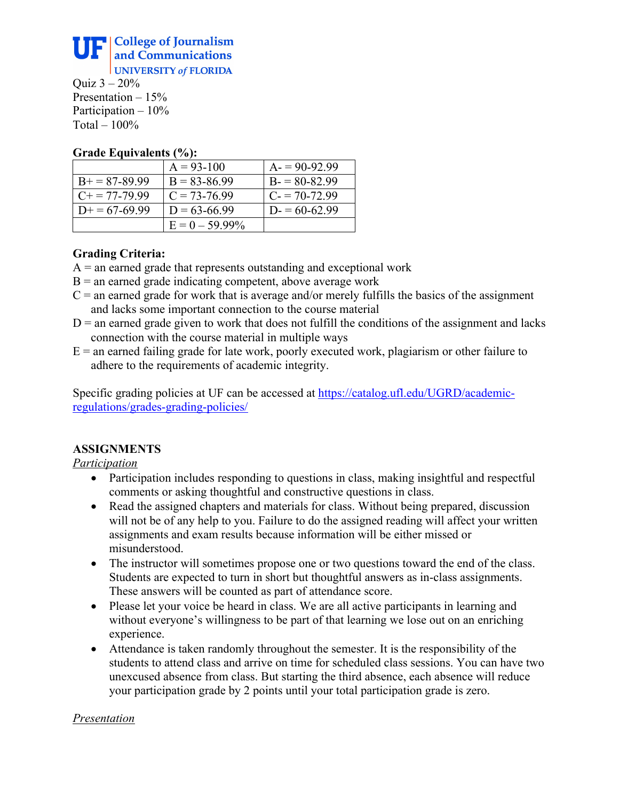

Ouiz  $3 - 20%$ Presentation – 15% Participation – 10% Total  $-100\%$ 

#### **Grade Equivalents (%):**

|                        | $A = 93 - 100$    | $A = 90-92.99$   |
|------------------------|-------------------|------------------|
| $B+=87-89.99$          | $B = 83 - 86.99$  | $B = 80 - 82.99$ |
| $C_{\pm} = 77 - 79.99$ | $C = 73-76.99$    | $C = 70-72.99$   |
| $D+=67-69.99$          | $D = 63 - 66.99$  | $D = 60-62.99$   |
|                        | $E = 0 - 59.99\%$ |                  |

# **Grading Criteria:**

- $A =$  an earned grade that represents outstanding and exceptional work
- $B =$  an earned grade indicating competent, above average work
- $C =$  an earned grade for work that is average and/or merely fulfills the basics of the assignment and lacks some important connection to the course material
- $D =$  an earned grade given to work that does not fulfill the conditions of the assignment and lacks connection with the course material in multiple ways
- $E =$  an earned failing grade for late work, poorly executed work, plagiarism or other failure to adhere to the requirements of academic integrity.

Specific grading policies at UF can be accessed at https://catalog.ufl.edu/UGRD/academicregulations/grades-grading-policies/

# **ASSIGNMENTS**

*Participation*

- Participation includes responding to questions in class, making insightful and respectful comments or asking thoughtful and constructive questions in class.
- Read the assigned chapters and materials for class. Without being prepared, discussion will not be of any help to you. Failure to do the assigned reading will affect your written assignments and exam results because information will be either missed or misunderstood.
- The instructor will sometimes propose one or two questions toward the end of the class. Students are expected to turn in short but thoughtful answers as in-class assignments. These answers will be counted as part of attendance score.
- Please let your voice be heard in class. We are all active participants in learning and without everyone's willingness to be part of that learning we lose out on an enriching experience.
- Attendance is taken randomly throughout the semester. It is the responsibility of the students to attend class and arrive on time for scheduled class sessions. You can have two unexcused absence from class. But starting the third absence, each absence will reduce your participation grade by 2 points until your total participation grade is zero.

#### *Presentation*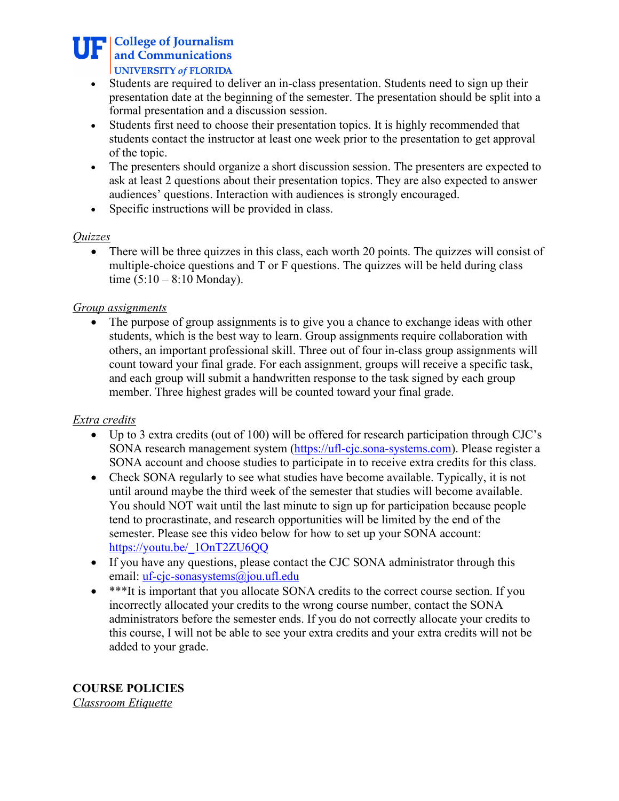# **THE College of Journalism** and Communications UNIVERSITY of FLORIDA

- Students are required to deliver an in-class presentation. Students need to sign up their presentation date at the beginning of the semester. The presentation should be split into a formal presentation and a discussion session.
- Students first need to choose their presentation topics. It is highly recommended that students contact the instructor at least one week prior to the presentation to get approval of the topic.
- The presenters should organize a short discussion session. The presenters are expected to ask at least 2 questions about their presentation topics. They are also expected to answer audiences' questions. Interaction with audiences is strongly encouraged.
- Specific instructions will be provided in class.

# *Quizzes*

• There will be three quizzes in this class, each worth 20 points. The quizzes will consist of multiple-choice questions and T or F questions. The quizzes will be held during class time  $(5:10 - 8:10$  Monday).

# *Group assignments*

• The purpose of group assignments is to give you a chance to exchange ideas with other students, which is the best way to learn. Group assignments require collaboration with others, an important professional skill. Three out of four in-class group assignments will count toward your final grade. For each assignment, groups will receive a specific task, and each group will submit a handwritten response to the task signed by each group member. Three highest grades will be counted toward your final grade.

# *Extra credits*

- Up to 3 extra credits (out of 100) will be offered for research participation through CJC's SONA research management system (https://ufl-cjc.sona-systems.com). Please register a SONA account and choose studies to participate in to receive extra credits for this class.
- Check SONA regularly to see what studies have become available. Typically, it is not until around maybe the third week of the semester that studies will become available. You should NOT wait until the last minute to sign up for participation because people tend to procrastinate, and research opportunities will be limited by the end of the semester. Please see this video below for how to set up your SONA account: https://youtu.be/\_1OnT2ZU6QQ
- If you have any questions, please contact the CJC SONA administrator through this email: uf-cjc-sonasystems@jou.ufl.edu
- \*\*\*It is important that you allocate SONA credits to the correct course section. If you incorrectly allocated your credits to the wrong course number, contact the SONA administrators before the semester ends. If you do not correctly allocate your credits to this course, I will not be able to see your extra credits and your extra credits will not be added to your grade.

**COURSE POLICIES** *Classroom Etiquette*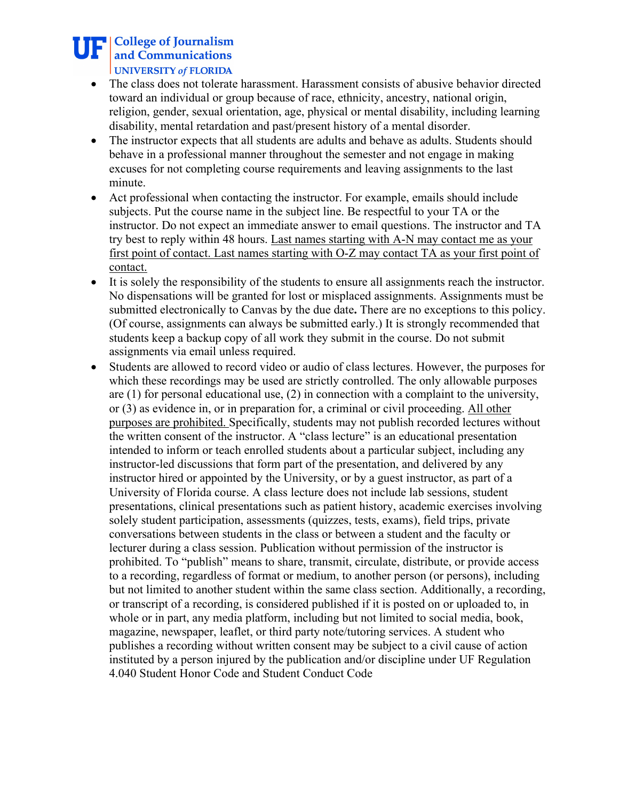# **THE College of Journalism** and Communications UNIVERSITY of FLORIDA

- The class does not tolerate harassment. Harassment consists of abusive behavior directed toward an individual or group because of race, ethnicity, ancestry, national origin, religion, gender, sexual orientation, age, physical or mental disability, including learning disability, mental retardation and past/present history of a mental disorder.
- The instructor expects that all students are adults and behave as adults. Students should behave in a professional manner throughout the semester and not engage in making excuses for not completing course requirements and leaving assignments to the last minute.
- Act professional when contacting the instructor. For example, emails should include subjects. Put the course name in the subject line. Be respectful to your TA or the instructor. Do not expect an immediate answer to email questions. The instructor and TA try best to reply within 48 hours. Last names starting with A-N may contact me as your first point of contact. Last names starting with O-Z may contact TA as your first point of contact.
- It is solely the responsibility of the students to ensure all assignments reach the instructor. No dispensations will be granted for lost or misplaced assignments. Assignments must be submitted electronically to Canvas by the due date**.** There are no exceptions to this policy. (Of course, assignments can always be submitted early.) It is strongly recommended that students keep a backup copy of all work they submit in the course. Do not submit assignments via email unless required.
- Students are allowed to record video or audio of class lectures. However, the purposes for which these recordings may be used are strictly controlled. The only allowable purposes are (1) for personal educational use, (2) in connection with a complaint to the university, or (3) as evidence in, or in preparation for, a criminal or civil proceeding. All other purposes are prohibited. Specifically, students may not publish recorded lectures without the written consent of the instructor. A "class lecture" is an educational presentation intended to inform or teach enrolled students about a particular subject, including any instructor-led discussions that form part of the presentation, and delivered by any instructor hired or appointed by the University, or by a guest instructor, as part of a University of Florida course. A class lecture does not include lab sessions, student presentations, clinical presentations such as patient history, academic exercises involving solely student participation, assessments (quizzes, tests, exams), field trips, private conversations between students in the class or between a student and the faculty or lecturer during a class session. Publication without permission of the instructor is prohibited. To "publish" means to share, transmit, circulate, distribute, or provide access to a recording, regardless of format or medium, to another person (or persons), including but not limited to another student within the same class section. Additionally, a recording, or transcript of a recording, is considered published if it is posted on or uploaded to, in whole or in part, any media platform, including but not limited to social media, book, magazine, newspaper, leaflet, or third party note/tutoring services. A student who publishes a recording without written consent may be subject to a civil cause of action instituted by a person injured by the publication and/or discipline under UF Regulation 4.040 Student Honor Code and Student Conduct Code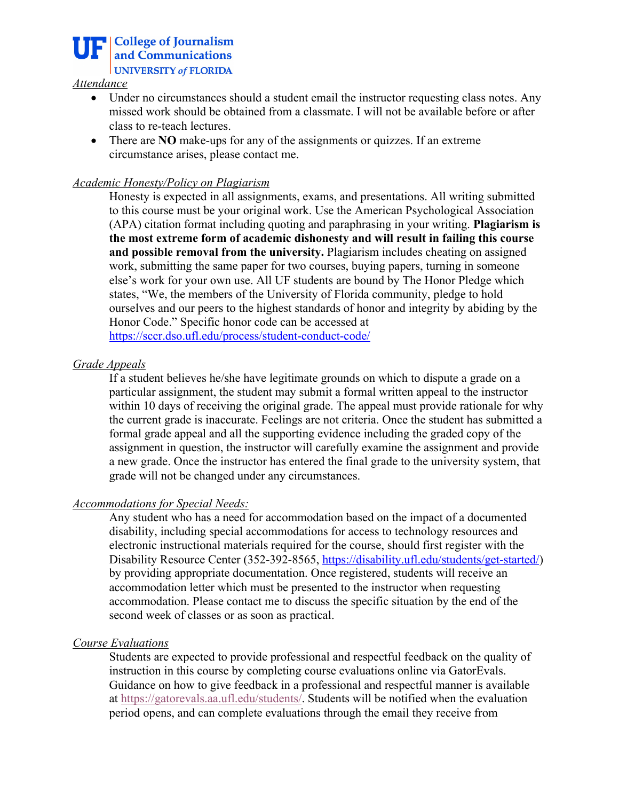

#### *Attendance*

- Under no circumstances should a student email the instructor requesting class notes. Any missed work should be obtained from a classmate. I will not be available before or after class to re-teach lectures.
- There are **NO** make-ups for any of the assignments or quizzes. If an extreme circumstance arises, please contact me.

#### *Academic Honesty/Policy on Plagiarism*

Honesty is expected in all assignments, exams, and presentations. All writing submitted to this course must be your original work. Use the American Psychological Association (APA) citation format including quoting and paraphrasing in your writing. **Plagiarism is the most extreme form of academic dishonesty and will result in failing this course and possible removal from the university.** Plagiarism includes cheating on assigned work, submitting the same paper for two courses, buying papers, turning in someone else's work for your own use. All UF students are bound by The Honor Pledge which states, "We, the members of the University of Florida community, pledge to hold ourselves and our peers to the highest standards of honor and integrity by abiding by the Honor Code." Specific honor code can be accessed at https://sccr.dso.ufl.edu/process/student-conduct-code/

#### *Grade Appeals*

If a student believes he/she have legitimate grounds on which to dispute a grade on a particular assignment, the student may submit a formal written appeal to the instructor within 10 days of receiving the original grade. The appeal must provide rationale for why the current grade is inaccurate. Feelings are not criteria. Once the student has submitted a formal grade appeal and all the supporting evidence including the graded copy of the assignment in question, the instructor will carefully examine the assignment and provide a new grade. Once the instructor has entered the final grade to the university system, that grade will not be changed under any circumstances.

#### *Accommodations for Special Needs:*

Any student who has a need for accommodation based on the impact of a documented disability, including special accommodations for access to technology resources and electronic instructional materials required for the course, should first register with the Disability Resource Center (352-392-8565, https://disability.ufl.edu/students/get-started/) by providing appropriate documentation. Once registered, students will receive an accommodation letter which must be presented to the instructor when requesting accommodation. Please contact me to discuss the specific situation by the end of the second week of classes or as soon as practical.

#### *Course Evaluations*

Students are expected to provide professional and respectful feedback on the quality of instruction in this course by completing course evaluations online via GatorEvals. Guidance on how to give feedback in a professional and respectful manner is available at https://gatorevals.aa.ufl.edu/students/. Students will be notified when the evaluation period opens, and can complete evaluations through the email they receive from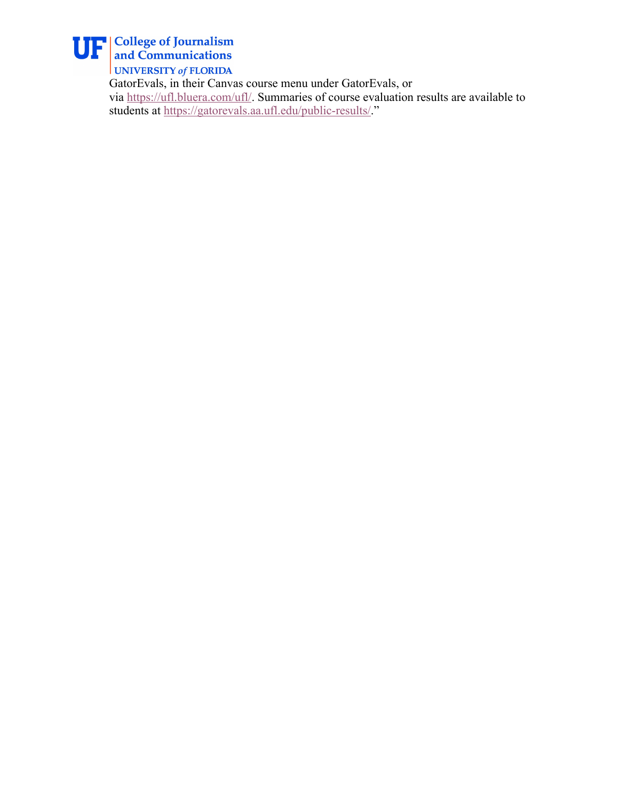

UNIVERSITY of FLORIDA

GatorEvals, in their Canvas course menu under GatorEvals, or via https://ufl.bluera.com/ufl/. Summaries of course evaluation results are available to students at https://gatorevals.aa.ufl.edu/public-results/."